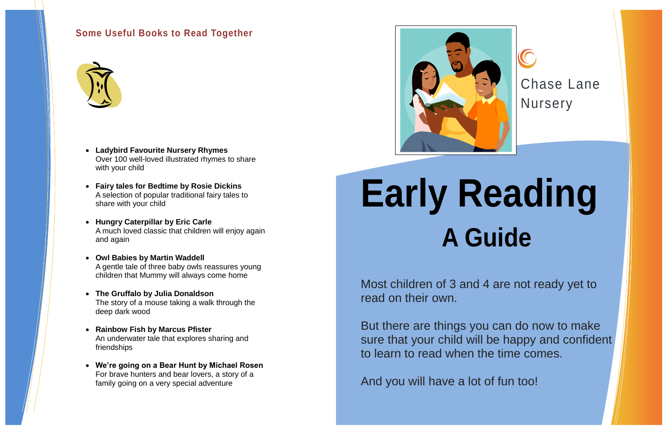Chase Lane **Nursery** 

**Early Reading A Guide**

Most children of 3 and 4 are not ready yet to read on their own.

But there are things you can do now to make sure that your child will be happy and confident to learn to read when the time comes.

And you will have a lot of fun too!

## **Some Useful Books to Read Together**



- **Ladybird Favourite Nursery Rhymes**  Over 100 well-loved illustrated rhymes to share with your child
- **Fairy tales for Bedtime by Rosie Dickins** A selection of popular traditional fairy tales to share with your child
- **Hungry Caterpillar by Eric Carle** A much loved classic that children will enjoy again and again
- **Owl Babies by Martin Waddell** A gentle tale of three baby owls reassures young children that Mummy will always come home
- **The Gruffalo by Julia Donaldson** The story of a mouse taking a walk through the deep dark wood
- **Rainbow Fish by Marcus Pfister** An underwater tale that explores sharing and friendships
- **We're going on a Bear Hunt by Michael Rosen** For brave hunters and bear lovers, a story of a family going on a very special adventure